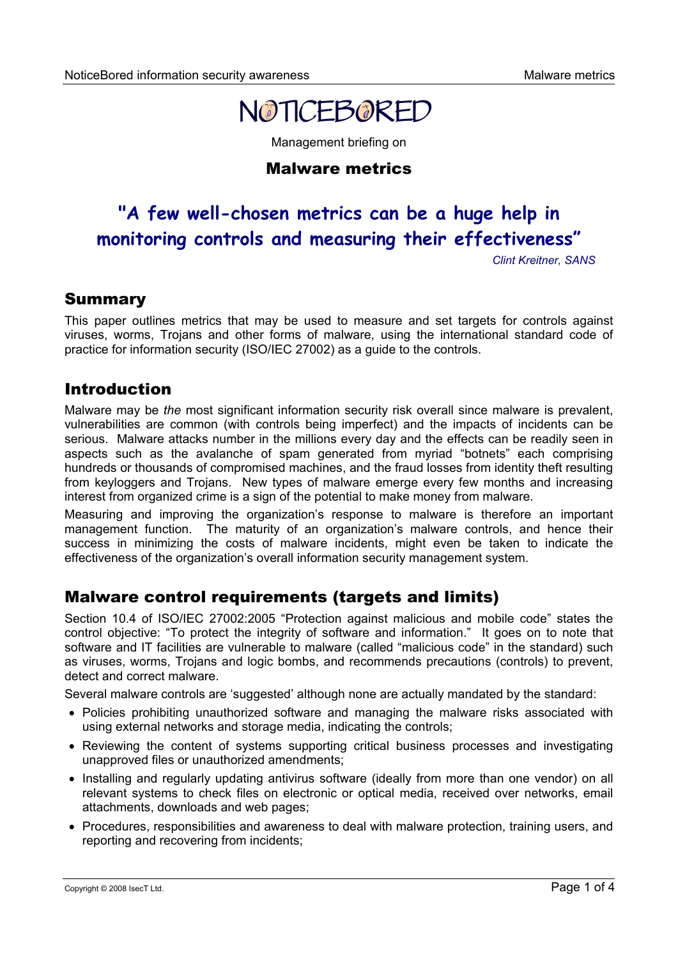

Management briefing on

## Malware metrics

# **"A few well-chosen metrics can be a huge help in monitoring controls and measuring their effectiveness"**

*Clint Kreitner, SANS*

### Summary

This paper outlines metrics that may be used to measure and set targets for controls against viruses, worms, Trojans and other forms of malware, using the international standard code of practice for information security (ISO/IEC 27002) as a guide to the controls.

# Introduction

Malware may be *the* most significant information security risk overall since malware is prevalent, vulnerabilities are common (with controls being imperfect) and the impacts of incidents can be serious. Malware attacks number in the millions every day and the effects can be readily seen in aspects such as the avalanche of spam generated from myriad "botnets" each comprising hundreds or thousands of compromised machines, and the fraud losses from identity theft resulting from keyloggers and Trojans. New types of malware emerge every few months and increasing interest from organized crime is a sign of the potential to make money from malware.

Measuring and improving the organization's response to malware is therefore an important management function. The maturity of an organization's malware controls, and hence their success in minimizing the costs of malware incidents, might even be taken to indicate the effectiveness of the organization's overall information security management system.

# Malware control requirements (targets and limits)

Section 10.4 of ISO/IEC 27002:2005 "Protection against malicious and mobile code" states the control objective: "To protect the integrity of software and information." It goes on to note that software and IT facilities are vulnerable to malware (called "malicious code" in the standard) such as viruses, worms, Trojans and logic bombs, and recommends precautions (controls) to prevent, detect and correct malware.

Several malware controls are 'suggested' although none are actually mandated by the standard:

- Policies prohibiting unauthorized software and managing the malware risks associated with using external networks and storage media, indicating the controls;
- Reviewing the content of systems supporting critical business processes and investigating unapproved files or unauthorized amendments;
- Installing and regularly updating antivirus software (ideally from more than one vendor) on all relevant systems to check files on electronic or optical media, received over networks, email attachments, downloads and web pages;
- Procedures, responsibilities and awareness to deal with malware protection, training users, and reporting and recovering from incidents;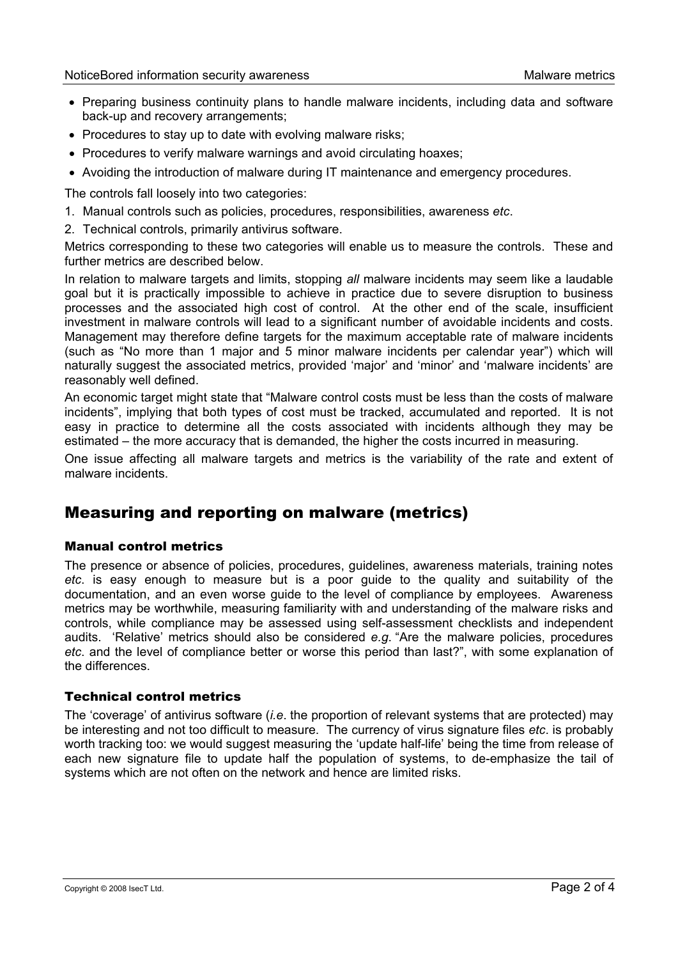- Preparing business continuity plans to handle malware incidents, including data and software back-up and recovery arrangements;
- Procedures to stay up to date with evolving malware risks;
- Procedures to verify malware warnings and avoid circulating hoaxes;
- Avoiding the introduction of malware during IT maintenance and emergency procedures.

The controls fall loosely into two categories:

- 1. Manual controls such as policies, procedures, responsibilities, awareness *etc*.
- 2. Technical controls, primarily antivirus software.

Metrics corresponding to these two categories will enable us to measure the controls. These and further metrics are described below.

In relation to malware targets and limits, stopping *all* malware incidents may seem like a laudable goal but it is practically impossible to achieve in practice due to severe disruption to business processes and the associated high cost of control. At the other end of the scale, insufficient investment in malware controls will lead to a significant number of avoidable incidents and costs. Management may therefore define targets for the maximum acceptable rate of malware incidents (such as "No more than 1 major and 5 minor malware incidents per calendar year") which will naturally suggest the associated metrics, provided 'major' and 'minor' and 'malware incidents' are reasonably well defined.

An economic target might state that "Malware control costs must be less than the costs of malware incidents", implying that both types of cost must be tracked, accumulated and reported. It is not easy in practice to determine all the costs associated with incidents although they may be estimated – the more accuracy that is demanded, the higher the costs incurred in measuring.

One issue affecting all malware targets and metrics is the variability of the rate and extent of malware incidents.

# Measuring and reporting on malware (metrics)

#### Manual control metrics

The presence or absence of policies, procedures, guidelines, awareness materials, training notes *etc*. is easy enough to measure but is a poor guide to the quality and suitability of the documentation, and an even worse guide to the level of compliance by employees. Awareness metrics may be worthwhile, measuring familiarity with and understanding of the malware risks and controls, while compliance may be assessed using self-assessment checklists and independent audits. 'Relative' metrics should also be considered *e.g*. "Are the malware policies, procedures *etc*. and the level of compliance better or worse this period than last?", with some explanation of the differences.

#### Technical control metrics

The 'coverage' of antivirus software (*i.e*. the proportion of relevant systems that are protected) may be interesting and not too difficult to measure. The currency of virus signature files *etc*. is probably worth tracking too: we would suggest measuring the 'update half-life' being the time from release of each new signature file to update half the population of systems, to de-emphasize the tail of systems which are not often on the network and hence are limited risks.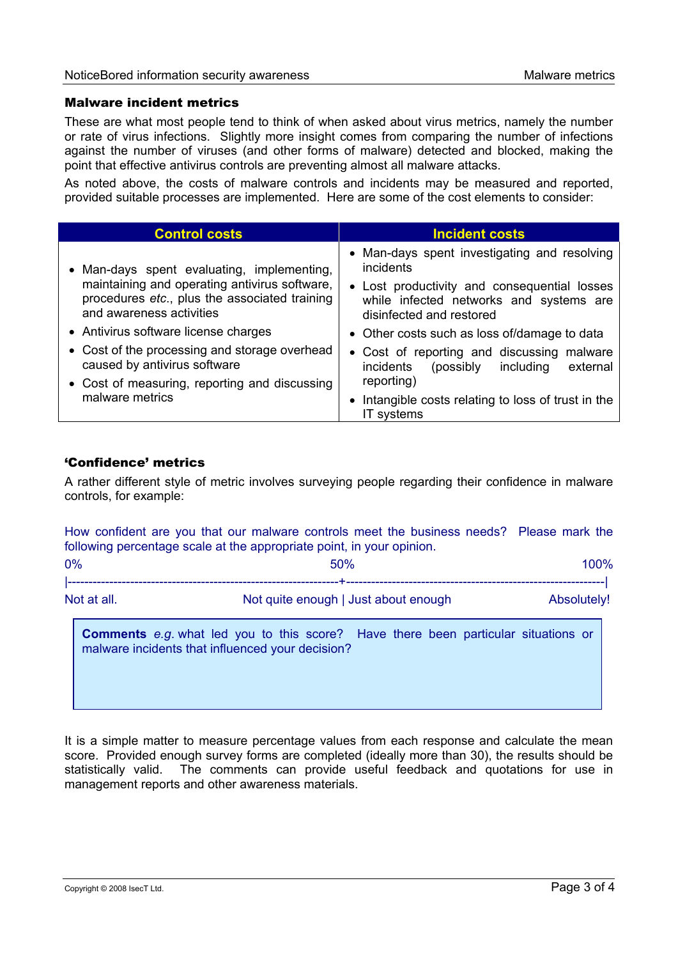#### Malware incident metrics

These are what most people tend to think of when asked about virus metrics, namely the number or rate of virus infections. Slightly more insight comes from comparing the number of infections against the number of viruses (and other forms of malware) detected and blocked, making the point that effective antivirus controls are preventing almost all malware attacks.

As noted above, the costs of malware controls and incidents may be measured and reported, provided suitable processes are implemented. Here are some of the cost elements to consider:

| <b>Control costs</b>                                                                                                                                                     | <b>Incident costs</b>                                                                                               |
|--------------------------------------------------------------------------------------------------------------------------------------------------------------------------|---------------------------------------------------------------------------------------------------------------------|
| • Man-days spent evaluating, implementing,<br>maintaining and operating antivirus software,<br>procedures etc., plus the associated training<br>and awareness activities | • Man-days spent investigating and resolving<br>incidents                                                           |
|                                                                                                                                                                          | • Lost productivity and consequential losses<br>while infected networks and systems are<br>disinfected and restored |
| • Antivirus software license charges                                                                                                                                     | • Other costs such as loss of/damage to data                                                                        |
| • Cost of the processing and storage overhead<br>caused by antivirus software                                                                                            | • Cost of reporting and discussing malware<br><i>incidents</i><br>(possibly)<br>including<br>external               |
| • Cost of measuring, reporting and discussing                                                                                                                            | reporting)                                                                                                          |
| malware metrics                                                                                                                                                          | • Intangible costs relating to loss of trust in the<br>IT systems                                                   |

#### 'Confidence' metrics

A rather different style of metric involves surveying people regarding their confidence in malware controls, for example:

How confident are you that our malware controls meet the business needs? Please mark the following percentage scale at the appropriate point, in your opinion.  $0\%$  and  $0\%$  50% construction of  $0\%$ |-----------------------------------------------------------------+--------------------------------------------------------------| Not at all. Not out the Not quite enough | Just about enough Absolutely! **Comments** *e.g*. what led you to this score? Have there been particular situations or

malware incidents that influenced your decision?

It is a simple matter to measure percentage values from each response and calculate the mean score. Provided enough survey forms are completed (ideally more than 30), the results should be statistically valid. The comments can provide useful feedback and quotations for use in management reports and other awareness materials.